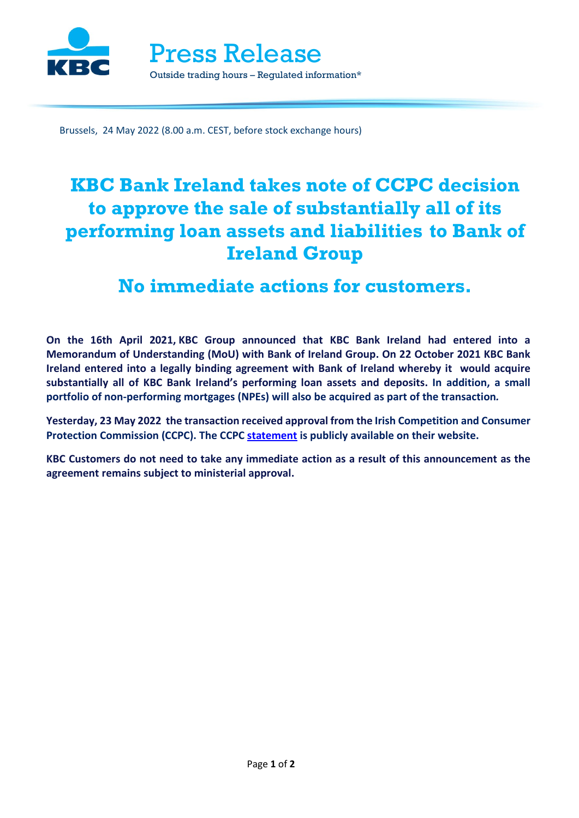

Press Release Outside trading hours – Regulated information\*

Brussels, 24 May 2022 (8.00 a.m. CEST, before stock exchange hours)

# **KBC Bank Ireland takes note of CCPC decision to approve the sale of substantially all of its performing loan assets and liabilities to Bank of Ireland Group**

## **No immediate actions for customers.**

**On the 16th April 2021, KBC Group announced that KBC Bank Ireland had entered into a Memorandum of Understanding (MoU) with Bank of Ireland Group. On 22 October 2021 KBC Bank Ireland entered into a legally binding agreement with Bank of Ireland whereby it would acquire substantially all of KBC Bank Ireland's performing loan assets and deposits. In addition, a small portfolio of non-performing mortgages (NPEs) will also be acquired as part of the transaction***.*

**Yesterday, 23 May 2022 the transaction received approval from the Irish Competition and Consumer Protection Commission (CCPC). The CCPC [statement](https://www.ccpc.ie/business/news/current-news/) is publicly available on their website.**

**KBC Customers do not need to take any immediate action as a result of this announcement as the agreement remains subject to ministerial approval.**